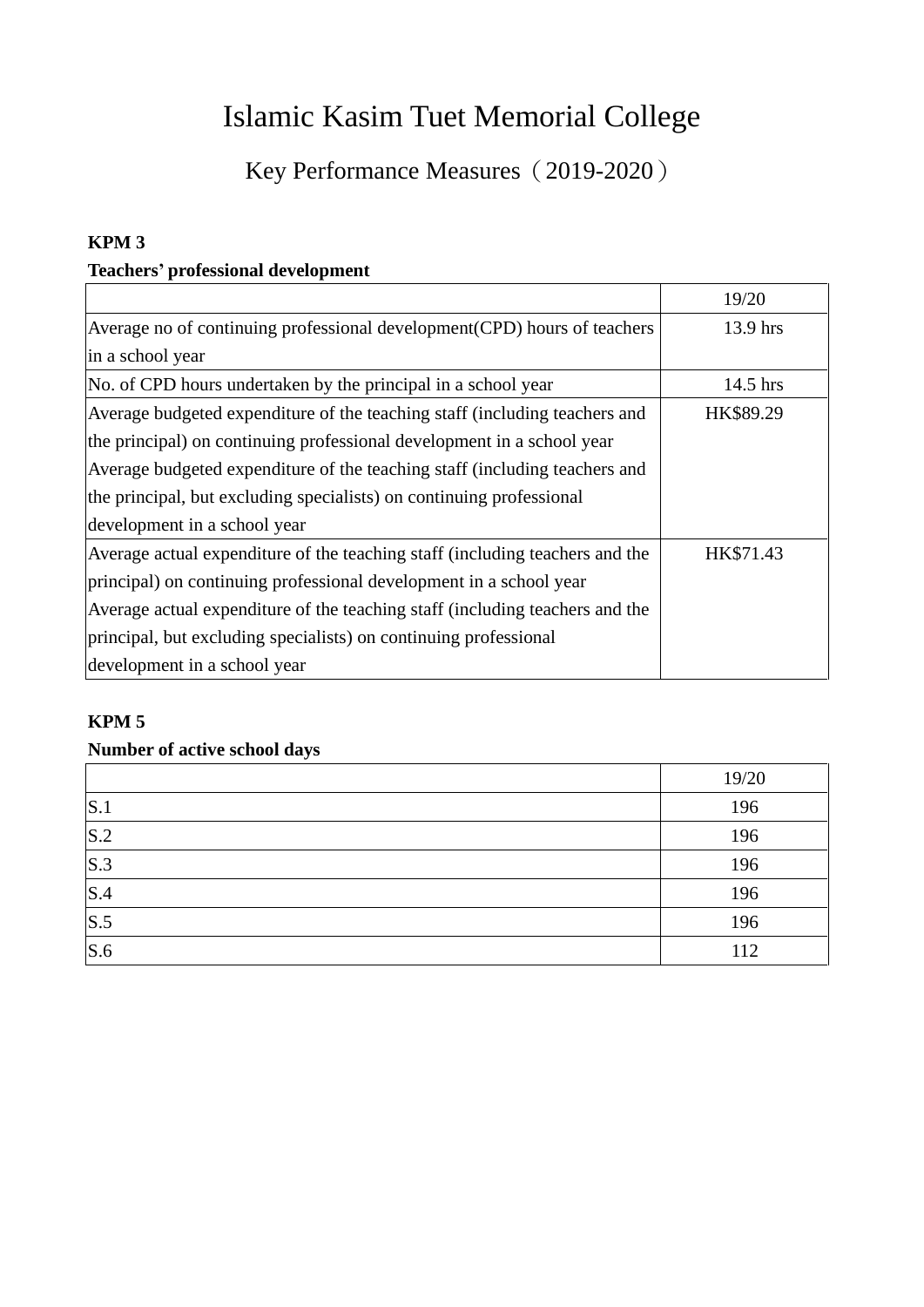# Islamic Kasim Tuet Memorial College

Key Performance Measures (2019-2020)

## **KPM 3**

## **Teachers' professional development**

|                                                                              | 19/20     |
|------------------------------------------------------------------------------|-----------|
| Average no of continuing professional development (CPD) hours of teachers    | 13.9 hrs  |
| in a school year                                                             |           |
| No. of CPD hours undertaken by the principal in a school year                | 14.5 hrs  |
| Average budgeted expenditure of the teaching staff (including teachers and   | HK\$89.29 |
| the principal) on continuing professional development in a school year       |           |
| Average budgeted expenditure of the teaching staff (including teachers and   |           |
| the principal, but excluding specialists) on continuing professional         |           |
| development in a school year                                                 |           |
| Average actual expenditure of the teaching staff (including teachers and the | HK\$71.43 |
| principal) on continuing professional development in a school year           |           |
| Average actual expenditure of the teaching staff (including teachers and the |           |
| principal, but excluding specialists) on continuing professional             |           |
| development in a school year                                                 |           |

#### **KPM 5**

## **Number of active school days**

|     | 19/20 |
|-----|-------|
| S.1 | 196   |
| S.2 | 196   |
| S.3 | 196   |
| S.4 | 196   |
| S.5 | 196   |
| S.6 | 112   |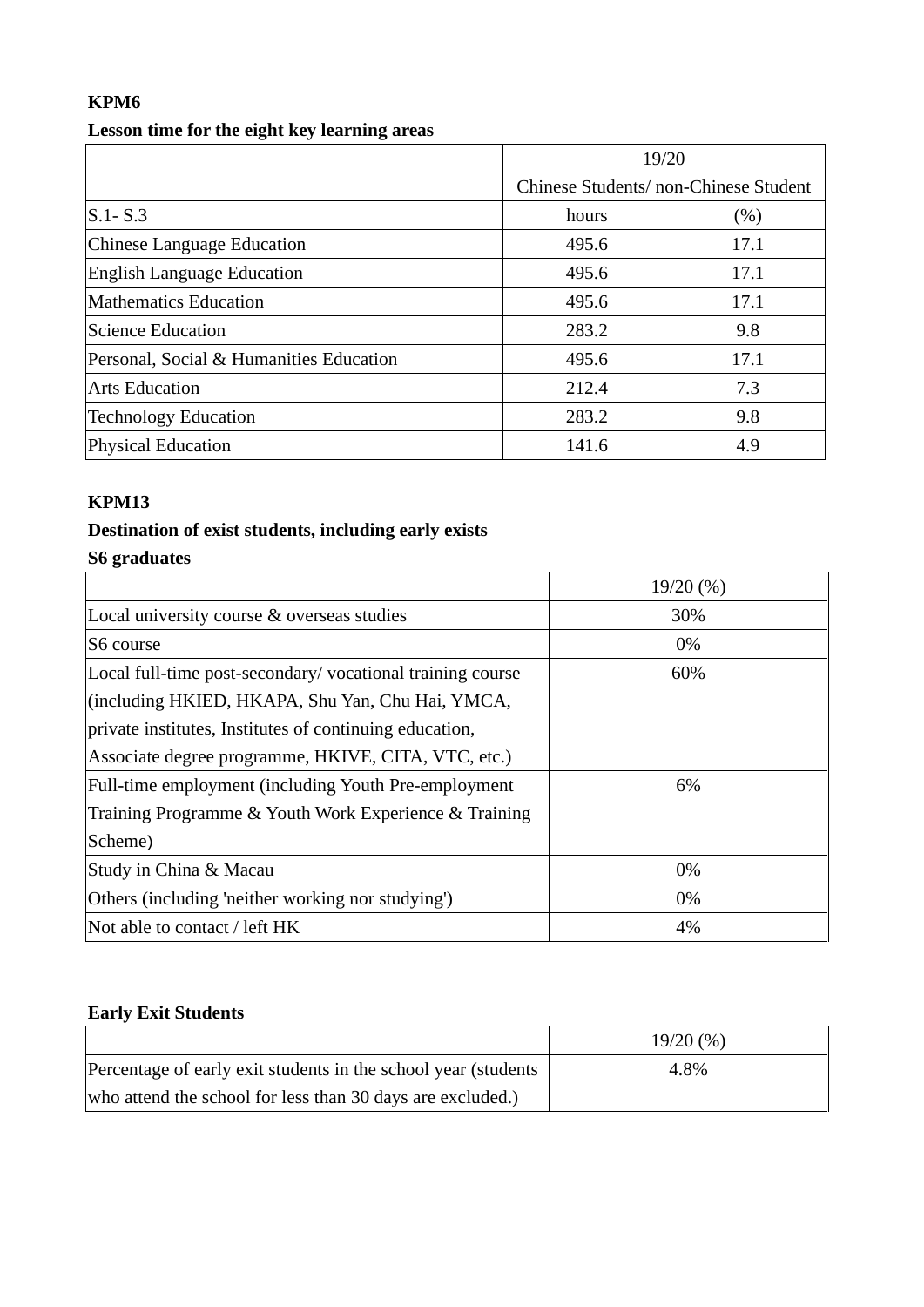# **KPM6**

## **Lesson time for the eight key learning areas**

|                                         | 19/20                                |      |
|-----------------------------------------|--------------------------------------|------|
|                                         | Chinese Students/non-Chinese Student |      |
| $S.1 - S.3$                             | hours                                | (% ) |
| Chinese Language Education              | 495.6                                | 17.1 |
| <b>English Language Education</b>       | 495.6                                | 17.1 |
| <b>Mathematics Education</b>            | 495.6                                | 17.1 |
| <b>Science Education</b>                | 283.2                                | 9.8  |
| Personal, Social & Humanities Education | 495.6                                | 17.1 |
| <b>Arts Education</b>                   | 212.4                                | 7.3  |
| <b>Technology Education</b>             | 283.2                                | 9.8  |
| <b>Physical Education</b>               | 141.6                                | 4.9  |

## **KPM13**

## **Destination of exist students, including early exists**

# **S6 graduates**

|                                                              | 19/20(%) |
|--------------------------------------------------------------|----------|
| Local university course & overseas studies                   | 30%      |
| S6 course                                                    | 0%       |
| Local full-time post-secondary/vocational training course    | 60%      |
| (including HKIED, HKAPA, Shu Yan, Chu Hai, YMCA,             |          |
| private institutes, Institutes of continuing education,      |          |
| Associate degree programme, HKIVE, CITA, VTC, etc.)          |          |
| <b>Full-time employment (including Youth Pre-employment)</b> | 6%       |
| Training Programme & Youth Work Experience & Training        |          |
| Scheme)                                                      |          |
| Study in China & Macau                                       | 0%       |
| Others (including 'neither working nor studying')            | 0%       |
| Not able to contact / left HK                                | 4%       |

## **Early Exit Students**

|                                                                 | 19/20(%) |
|-----------------------------------------------------------------|----------|
| Percentage of early exit students in the school year (students) | 4.8%     |
| who attend the school for less than 30 days are excluded.)      |          |